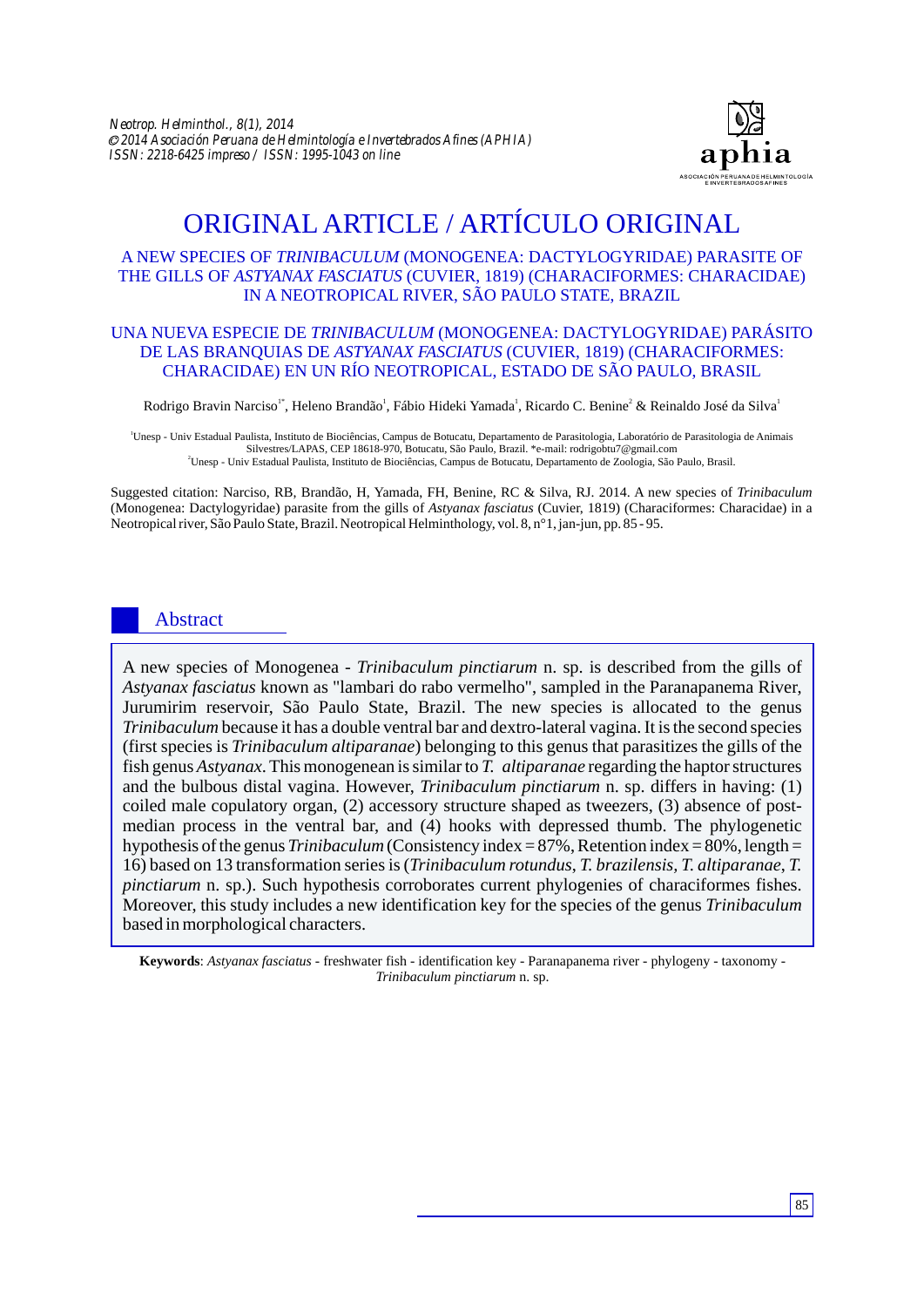

# ORIGINAL ARTICLE / ARTÍCULO ORIGINAL

# A NEW SPECIES OF *TRINIBACULUM* (MONOGENEA: DACTYLOGYRIDAE) PARASITE OF THE GILLS OF *ASTYANAX FASCIATUS* (CUVIER, 1819) (CHARACIFORMES: CHARACIDAE) IN A NEOTROPICAL RIVER, SÃO PAULO STATE, BRAZIL

# UNA NUEVA ESPECIE DE *TRINIBACULUM* (MONOGENEA: DACTYLOGYRIDAE) PARÁSITO DE LAS BRANQUIAS DE *ASTYANAX FASCIATUS* (CUVIER, 1819) (CHARACIFORMES: CHARACIDAE) EN UN RÍO NEOTROPICAL, ESTADO DE SÃO PAULO, BRASIL

Rodrigo Bravin Narciso<sup>1</sup>, Heleno Brandão<sup>1</sup>, Fábio Hideki Yamada<sup>1</sup>, Ricardo C. Benine<sup>2</sup> & Reinaldo José da Silva<sup>1</sup>

<sup>1</sup>Unesp - Univ Estadual Paulista, Instituto de Biociências, Campus de Botucatu, Departamento de Parasitologia, Laboratório de Parasitologia de Animais Silvestres/LAPAS, CEP 18618-970, Botucatu, São Paulo, Brazil. \*e-mail: rodrigobtu7@gmail.com <sup>2</sup>Unesp - Univ Estadual Paulista, Instituto de Biociências, Campus de Botucatu, Departamento de Zoologia, São Paulo, Brasil.

Suggested citation: Narciso, RB, Brandão, H, Yamada, FH, Benine, RC & Silva, RJ. 2014. A new species of *Trinibaculum* (Monogenea: Dactylogyridae) parasite from the gills of *Astyanax fasciatus* (Cuvier, 1819) (Characiformes: Characidae) in a Neotropical river, São Paulo State, Brazil. Neotropical Helminthology, vol. 8, n°1, jan-jun, pp. 85 - 95.

# Abstract

A new species of Monogenea - *Trinibaculum pinctiarum* n. sp. is described from the gills of *Astyanax fasciatus* known as "lambari do rabo vermelho", sampled in the Paranapanema River, Jurumirim reservoir, São Paulo State, Brazil. The new species is allocated to the genus *Trinibaculum* because it has a double ventral bar and dextro-lateral vagina. It is the second species (first species is *Trinibaculum altiparanae*) belonging to this genus that parasitizes the gills of the fish genus *Astyanax*. This monogenean is similar to *T. altiparanae* regarding the haptor structures and the bulbous distal vagina. However, *Trinibaculum pinctiarum* n. sp. differs in having: (1) coiled male copulatory organ, (2) accessory structure shaped as tweezers, (3) absence of postmedian process in the ventral bar, and (4) hooks with depressed thumb. The phylogenetic hypothesis of the genus *Trinibaculum* (Consistency index = 87%, Retention index = 80%, length = 16) based on 13 transformation series is (*Trinibaculum rotundus*, *T. brazilensis, T. altiparanae*, *T. pinctiarum* n. sp.). Such hypothesis corroborates current phylogenies of characiformes fishes. Moreover, this study includes a new identification key for the species of the genus *Trinibaculum*  based in morphological characters.

**Keywords**: *Astyanax fasciatus* - freshwater fish - identification key - Paranapanema river - phylogeny - taxonomy - *Trinibaculum pinctiarum* n. sp.

85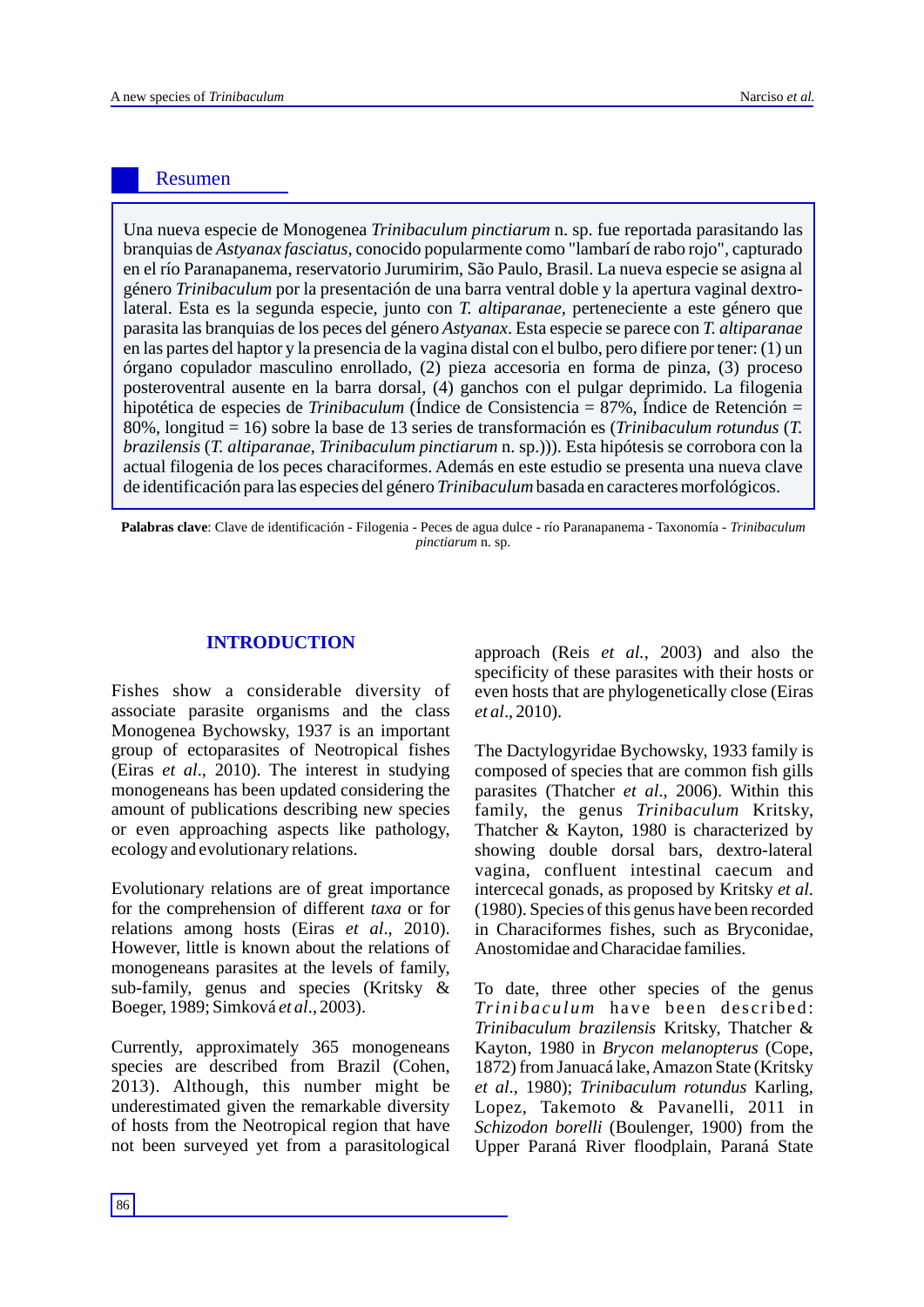# Resumen

Una nueva especie de Monogenea *Trinibaculum pinctiarum* n. sp. fue reportada parasitando las branquias de *Astyanax fasciatus*, conocido popularmente como "lambarí de rabo rojo", capturado en el río Paranapanema, reservatorio Jurumirim, São Paulo, Brasil. La nueva especie se asigna al género *Trinibaculum* por la presentación de una barra ventral doble y la apertura vaginal dextrolateral. Esta es la segunda especie, junto con *T. altiparanae,* perteneciente a este género que parasita las branquias de los peces del género *Astyanax*. Esta especie se parece con *T. altiparanae* en las partes del haptor y la presencia de la vagina distal con el bulbo, pero difiere por tener: (1) un órgano copulador masculino enrollado, (2) pieza accesoria en forma de pinza, (3) proceso posteroventral ausente en la barra dorsal, (4) ganchos con el pulgar deprimido. La filogenia hipotética de especies de *Trinibaculum* (Índice de Consistencia = 87%, Índice de Retención = 80%, longitud = 16) sobre la base de 13 series de transformación es (*Trinibaculum rotundus* (*T. brazilensis* (*T. altiparanae*, *Trinibaculum pinctiarum* n. sp.))). Esta hipótesis se corrobora con la actual filogenia de los peces characiformes. Además en este estudio se presenta una nueva clave de identificación para las especies del género *Trinibaculum* basada en caracteres morfológicos.

Palabras clave: Clave de identificación - Filogenia - Peces de agua dulce - río Paranapanema - Taxonomía - *Trinibaculum pinctiarum* n. sp.

## **INTRODUCTION**

Fishes show a considerable diversity of associate parasite organisms and the class Monogenea Bychowsky, 1937 is an important group of ectoparasites of Neotropical fishes (Eiras *et al*., 2010). The interest in studying monogeneans has been updated considering the amount of publications describing new species or even approaching aspects like pathology, ecology and evolutionary relations.

Evolutionary relations are of great importance for the comprehension of different *taxa* or for relations among hosts (Eiras *et al*., 2010). However, little is known about the relations of monogeneans parasites at the levels of family, sub-family, genus and species (Kritsky & Boeger, 1989; Simková *et al*., 2003).

Currently, approximately 365 monogeneans species are described from Brazil (Cohen, 2013). Although, this number might be underestimated given the remarkable diversity of hosts from the Neotropical region that have not been surveyed yet from a parasitological approach (Reis *et al.*, 2003) and also the specificity of these parasites with their hosts or even hosts that are phylogenetically close (Eiras *et al*., 2010).

The Dactylogyridae Bychowsky, 1933 family is composed of species that are common fish gills parasites (Thatcher *et al*., 2006). Within this family, the genus *Trinibaculum* Kritsky, Thatcher & Kayton, 1980 is characterized by showing double dorsal bars, dextro-lateral vagina, confluent intestinal caecum and intercecal gonads, as proposed by Kritsky *et al*. (1980). Species of this genus have been recorded in Characiformes fishes, such as Bryconidae, Anostomidae and Characidae families.

To date, three other species of the genus *Trinibaculum* have been described: *Trinibaculum brazilensis* Kritsky, Thatcher & Kayton, 1980 in *Brycon melanopterus* (Cope, 1872) from Januacá lake, Amazon State (Kritsky *et al*., 1980); *Trinibaculum rotundus* Karling, Lopez, Takemoto & Pavanelli, 2011 in *Schizodon borelli* (Boulenger, 1900) from the Upper Paraná River floodplain, Paraná State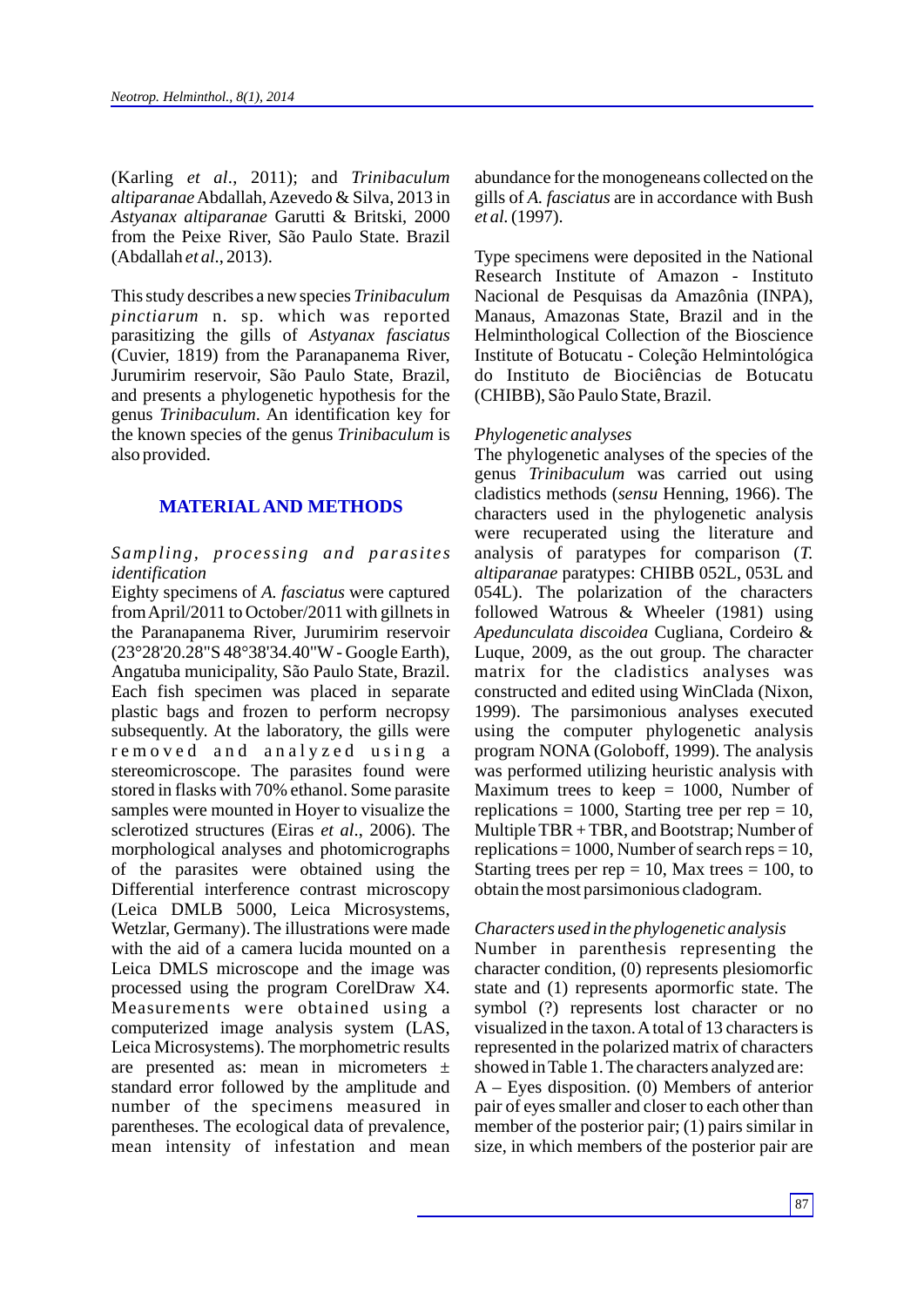(Karling *et al*., 2011); and *Trinibaculum altiparanae*Abdallah, Azevedo & Silva, 2013 in *Astyanax altiparanae* Garutti & Britski, 2000 from the Peixe River, São Paulo State. Brazil (Abdallah *et al*., 2013).

This study describes a new species *Trinibaculum pinctiarum* n. sp. which was reported parasitizing the gills of *Astyanax fasciatus* (Cuvier, 1819) from the Paranapanema River, Jurumirim reservoir, São Paulo State, Brazil, and presents a phylogenetic hypothesis for the genus *Trinibaculum*. An identification key for the known species of the genus *Trinibaculum* is also provided.

# **MATERIALAND METHODS**

## *Sampling, processing and parasites identification*

Eighty specimens of *A. fasciatus* were captured from April/2011 to October/2011 with gillnets in the Paranapanema River, Jurumirim reservoir (23°28'20.28"S 48°38'34.40"W- Google Earth), Angatuba municipality, São Paulo State, Brazil. Each fish specimen was placed in separate plastic bags and frozen to perform necropsy subsequently. At the laboratory, the gills were removed and analyzed using a stereomicroscope. The parasites found were stored in flasks with 70% ethanol. Some parasite samples were mounted in Hoyer to visualize the sclerotized structures (Eiras *et al*., 2006). The morphological analyses and photomicrographs of the parasites were obtained using the Differential interference contrast microscopy (Leica DMLB 5000, Leica Microsystems, Wetzlar, Germany). The illustrations were made with the aid of a camera lucida mounted on a Leica DMLS microscope and the image was processed using the program CorelDraw X4. Measurements were obtained using a computerized image analysis system (LAS, Leica Microsystems). The morphometric results are presented as: mean in micrometers ± standard error followed by the amplitude and number of the specimens measured in parentheses. The ecological data of prevalence, mean intensity of infestation and mean

abundance for the monogeneans collected on the gills of *A. fasciatus* are in accordance with Bush *et al.*(1997).

Type specimens were deposited in the National Research Institute of Amazon - Instituto Nacional de Pesquisas da Amazônia (INPA), Manaus, Amazonas State, Brazil and in the Helminthological Collection of the Bioscience Institute of Botucatu - Coleção Helmintológica do Instituto de Biociências de Botucatu (CHIBB), São Paulo State, Brazil.

## *Phylogenetic analyses*

The phylogenetic analyses of the species of the genus *Trinibaculum* was carried out using cladistics methods (*sensu* Henning, 1966). The characters used in the phylogenetic analysis were recuperated using the literature and analysis of paratypes for comparison (*T. altiparanae* paratypes: CHIBB 052L, 053L and 054L). The polarization of the characters followed Watrous & Wheeler (1981) using *Apedunculata discoidea* Cugliana, Cordeiro & Luque, 2009, as the out group. The character matrix for the cladistics analyses was constructed and edited using WinClada (Nixon, 1999). The parsimonious analyses executed using the computer phylogenetic analysis program NONA (Goloboff, 1999). The analysis was performed utilizing heuristic analysis with Maximum trees to keep  $= 1000$ , Number of replications = 1000, Starting tree per rep = 10, Multiple TBR + TBR, and Bootstrap; Number of replications = 1000, Number of search reps = 10, Starting trees per rep  $= 10$ , Max trees  $= 100$ , to obtain the most parsimonious cladogram.

#### *Characters used in the phylogenetic analysis*

Number in parenthesis representing the character condition, (0) represents plesiomorfic state and (1) represents apormorfic state. The symbol (?) represents lost character or no visualized in the taxon. Atotal of 13 characters is represented in the polarized matrix of characters showed in Table 1. The characters analyzed are: A – Eyes disposition. (0) Members of anterior pair of eyes smaller and closer to each other than member of the posterior pair; (1) pairs similar in size, in which members of the posterior pair are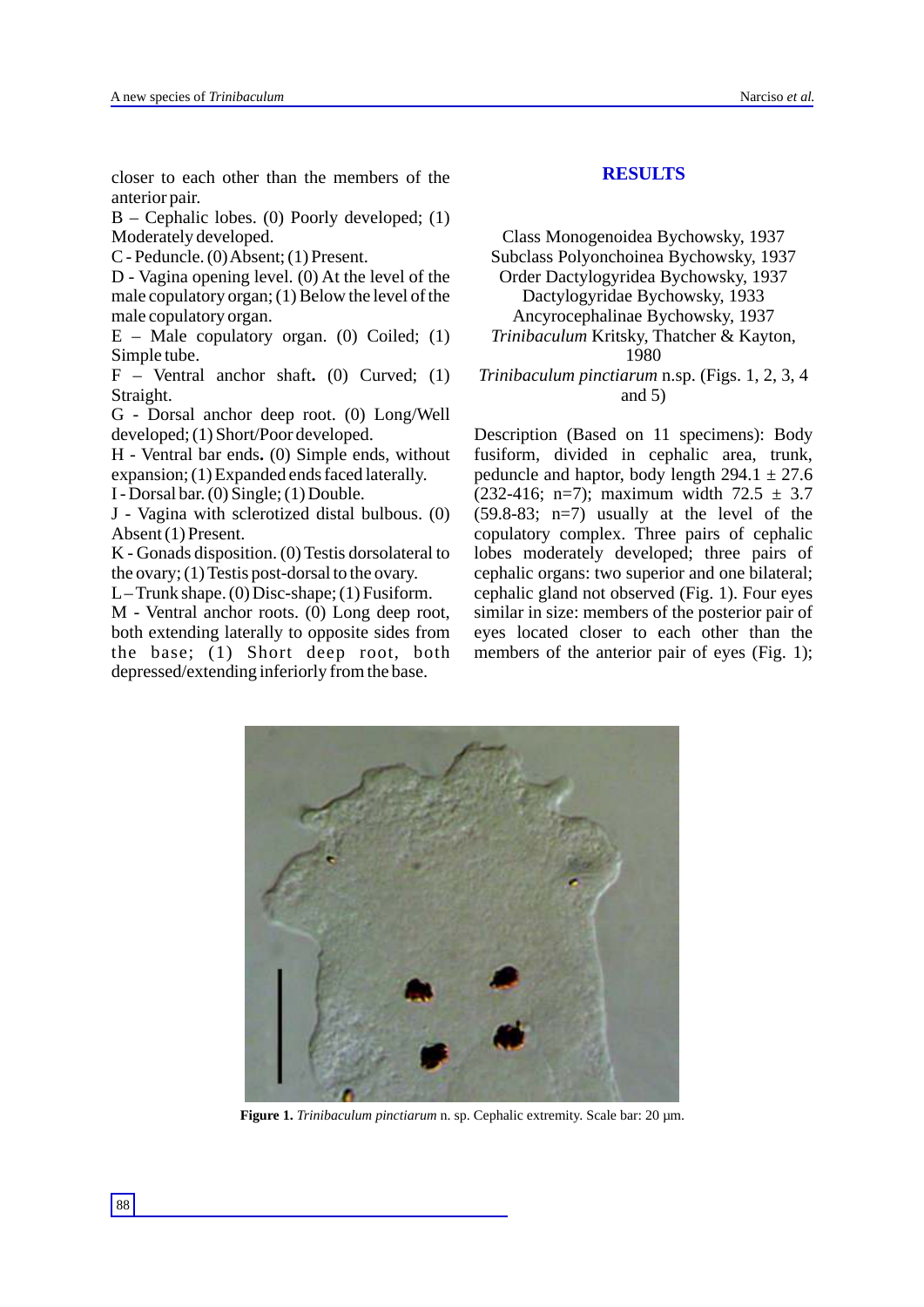closer to each other than the members of the anterior pair.

B – Cephalic lobes. (0) Poorly developed; (1) Moderately developed.

C - Peduncle. (0) Absent; (1) Present.

D - Vagina opening level. (0) At the level of the male copulatory organ; (1) Below the level of the male copulatory organ.

 $E$  – Male copulatory organ. (0) Coiled; (1) Simple tube.

F – Ventral anchor shaft**.** (0) Curved; (1) Straight.

G - Dorsal anchor deep root. (0) Long/Well developed; (1) Short/Poor developed.

H - Ventral bar ends**.** (0) Simple ends, without expansion; (1) Expanded ends faced laterally.

I - Dorsal bar. (0) Single; (1) Double.

J - Vagina with sclerotized distal bulbous. (0) Absent (1) Present.

K - Gonads disposition. (0) Testis dorsolateral to the ovary; (1) Testis post-dorsal to the ovary.

L– Trunk shape. (0) Disc-shape; (1) Fusiform.

M - Ventral anchor roots. (0) Long deep root, both extending laterally to opposite sides from the base; (1) Short deep root, both depressed/extending inferiorly from the base.

# **RESULTS**

Class Monogenoidea Bychowsky, 1937 Subclass Polyonchoinea Bychowsky, 1937 Order Dactylogyridea Bychowsky, 1937 Dactylogyridae Bychowsky, 1933 Ancyrocephalinae Bychowsky, 1937 *Trinibaculum* Kritsky, Thatcher & Kayton, 1980

*Trinibaculum pinctiarum* n.sp. (Figs. 1, 2, 3, 4 and 5)

Description (Based on 11 specimens): Body fusiform, divided in cephalic area, trunk, peduncle and haptor, body length  $294.1 \pm 27.6$ (232-416; n=7); maximum width  $72.5 \pm 3.7$  $(59.8-83; n=7)$  usually at the level of the copulatory complex. Three pairs of cephalic lobes moderately developed; three pairs of cephalic organs: two superior and one bilateral; cephalic gland not observed (Fig. 1). Four eyes similar in size: members of the posterior pair of eyes located closer to each other than the members of the anterior pair of eyes (Fig. 1);



**Figure 1.** *Trinibaculum pinctiarum* n. sp. Cephalic extremity. Scale bar: 20 um.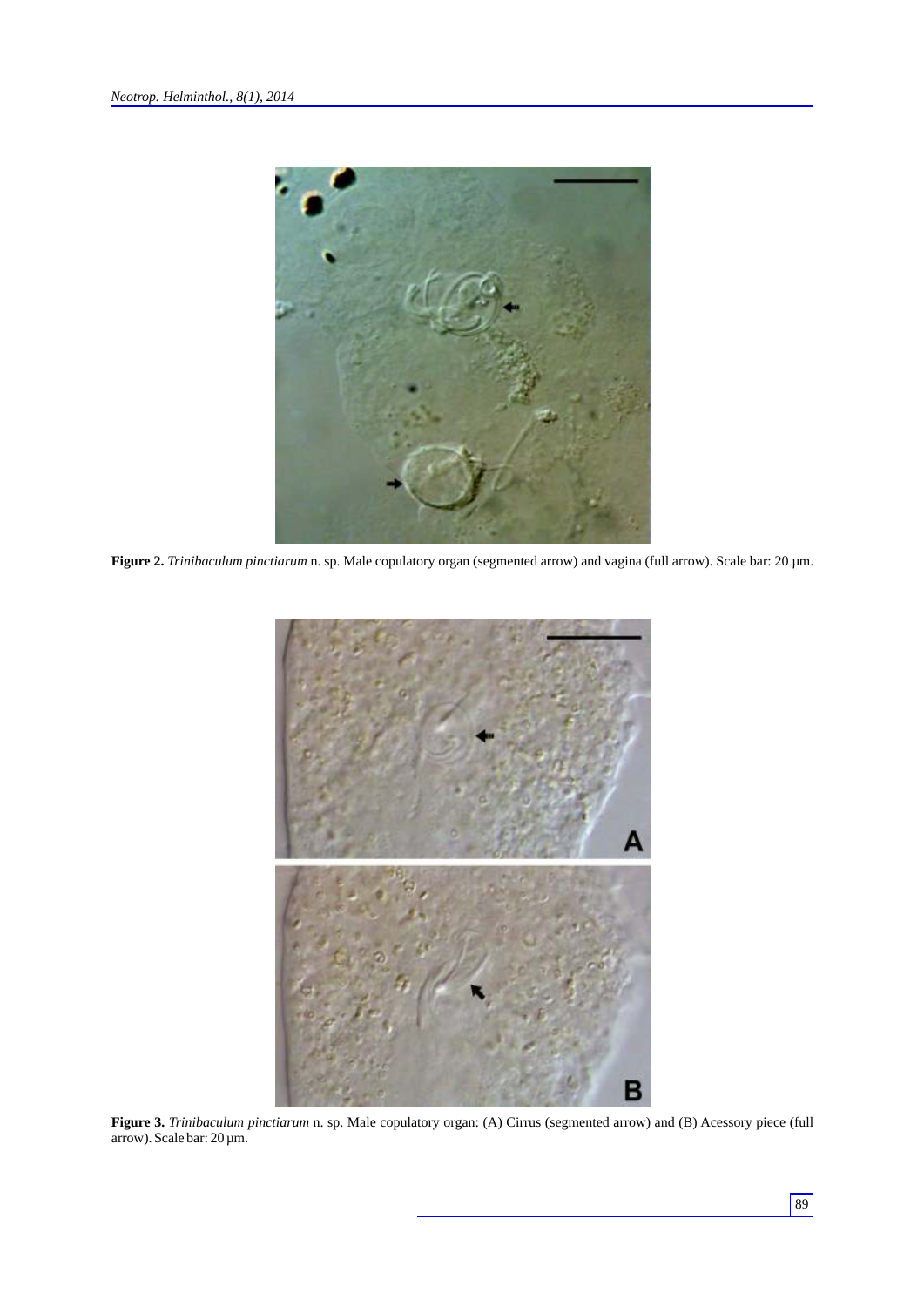

**Figure 2.** *Trinibaculum pinctiarum* n. sp. Male copulatory organ (segmented arrow) and vagina (full arrow). Scale bar: 20 µm.



**Figure 3.** *Trinibaculum pinctiarum* n. sp. Male copulatory organ: (A) Cirrus (segmented arrow) and (B) Acessory piece (full arrow). Scale bar: 20 µm.

89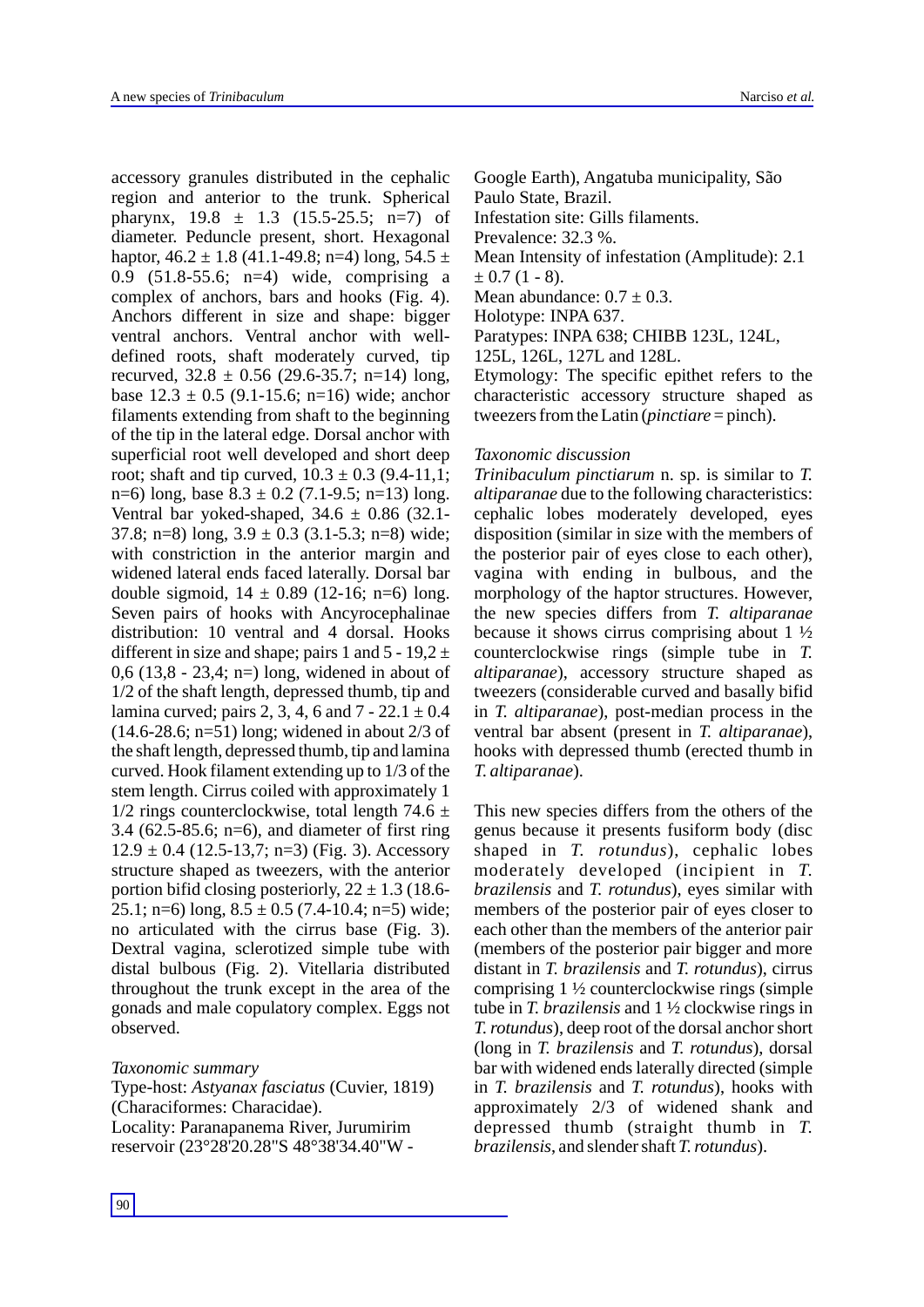accessory granules distributed in the cephalic region and anterior to the trunk. Spherical pharynx, 19.8 ± 1.3 (15.5-25.5; n=7) of diameter. Peduncle present, short. Hexagonal haptor,  $46.2 \pm 1.8$  (41.1-49.8; n=4) long,  $54.5 \pm$ 0.9 (51.8-55.6; n=4) wide, comprising a complex of anchors, bars and hooks (Fig. 4). Anchors different in size and shape: bigger ventral anchors. Ventral anchor with welldefined roots, shaft moderately curved, tip recurved,  $32.8 \pm 0.56$  (29.6-35.7; n=14) long, base  $12.3 \pm 0.5$  (9.1-15.6; n=16) wide; anchor filaments extending from shaft to the beginning of the tip in the lateral edge. Dorsal anchor with superficial root well developed and short deep root; shaft and tip curved,  $10.3 \pm 0.3$  (9.4-11,1; n=6) long, base  $8.3 \pm 0.2$  (7.1-9.5; n=13) long. Ventral bar yoked-shaped,  $34.6 \pm 0.86$  (32.1-37.8; n=8) long,  $3.9 \pm 0.3$  (3.1-5.3; n=8) wide; with constriction in the anterior margin and widened lateral ends faced laterally. Dorsal bar double sigmoid,  $14 \pm 0.89$  (12-16; n=6) long. Seven pairs of hooks with Ancyrocephalinae distribution: 10 ventral and 4 dorsal. Hooks different in size and shape; pairs 1 and  $5 - 19,2 \pm 1$ 0,6 (13,8 - 23,4; n=) long, widened in about of 1/2 of the shaft length, depressed thumb, tip and lamina curved; pairs 2, 3, 4, 6 and  $7 - 22.1 \pm 0.4$ (14.6-28.6; n=51) long; widened in about 2/3 of the shaft length, depressed thumb, tip and lamina curved. Hook filament extending up to 1/3 of the stem length. Cirrus coiled with approximately 1  $1/2$  rings counterclockwise, total length 74.6  $\pm$ 3.4 (62.5-85.6; n=6), and diameter of first ring  $12.9 \pm 0.4$  (12.5-13,7; n=3) (Fig. 3). Accessory structure shaped as tweezers, with the anterior portion bifid closing posteriorly,  $22 \pm 1.3$  (18.6-25.1; n=6) long,  $8.5 \pm 0.5$  (7.4-10.4; n=5) wide; no articulated with the cirrus base (Fig. 3). Dextral vagina, sclerotized simple tube with distal bulbous (Fig. 2). Vitellaria distributed throughout the trunk except in the area of the gonads and male copulatory complex. Eggs not observed.

#### *Taxonomic summary*

Type-host: *Astyanax fasciatus* (Cuvier, 1819) (Characiformes: Characidae). Locality: Paranapanema River, Jurumirim reservoir (23°28'20.28"S 48°38'34.40"W -

Google Earth), Angatuba municipality, São Paulo State, Brazil. Infestation site: Gills filaments. Prevalence: 32.3 %. Mean Intensity of infestation (Amplitude): 2.1  $\pm$  0.7 (1 - 8). Mean abundance:  $0.7 \pm 0.3$ . Holotype: INPA 637. Paratypes: INPA 638; CHIBB 123L, 124L,

125L, 126L, 127L and 128L.

Etymology: The specific epithet refers to the characteristic accessory structure shaped as tweezers from the Latin (*pinctiare* = pinch).

#### *Taxonomic discussion*

*Trinibaculum pinctiarum* n. sp. is similar to *T. altiparanae* due to the following characteristics: cephalic lobes moderately developed, eyes disposition (similar in size with the members of the posterior pair of eyes close to each other), vagina with ending in bulbous, and the morphology of the haptor structures. However, the new species differs from *T. altiparanae*  because it shows cirrus comprising about  $1\frac{1}{2}$ counterclockwise rings (simple tube in *T. altiparanae*), accessory structure shaped as tweezers (considerable curved and basally bifid in *T. altiparanae*), post-median process in the ventral bar absent (present in *T. altiparanae*), hooks with depressed thumb (erected thumb in *T. altiparanae*).

This new species differs from the others of the genus because it presents fusiform body (disc shaped in *T. rotundus*), cephalic lobes moderately developed (incipient in *T. brazilensis* and *T. rotundus*), eyes similar with members of the posterior pair of eyes closer to each other than the members of the anterior pair (members of the posterior pair bigger and more distant in *T. brazilensis* and *T. rotundus*), cirrus comprising 1 ½ counterclockwise rings (simple tube in *T. brazilensis* and 1 ½ clockwise rings in *T. rotundus*), deep root of the dorsal anchor short (long in *T. brazilensis* and *T. rotundus*), dorsal bar with widened ends laterally directed (simple in *T. brazilensis* and *T. rotundus*), hooks with approximately 2/3 of widened shank and depressed thumb (straight thumb in *T. brazilensis*, and slender shaft *T. rotundus*).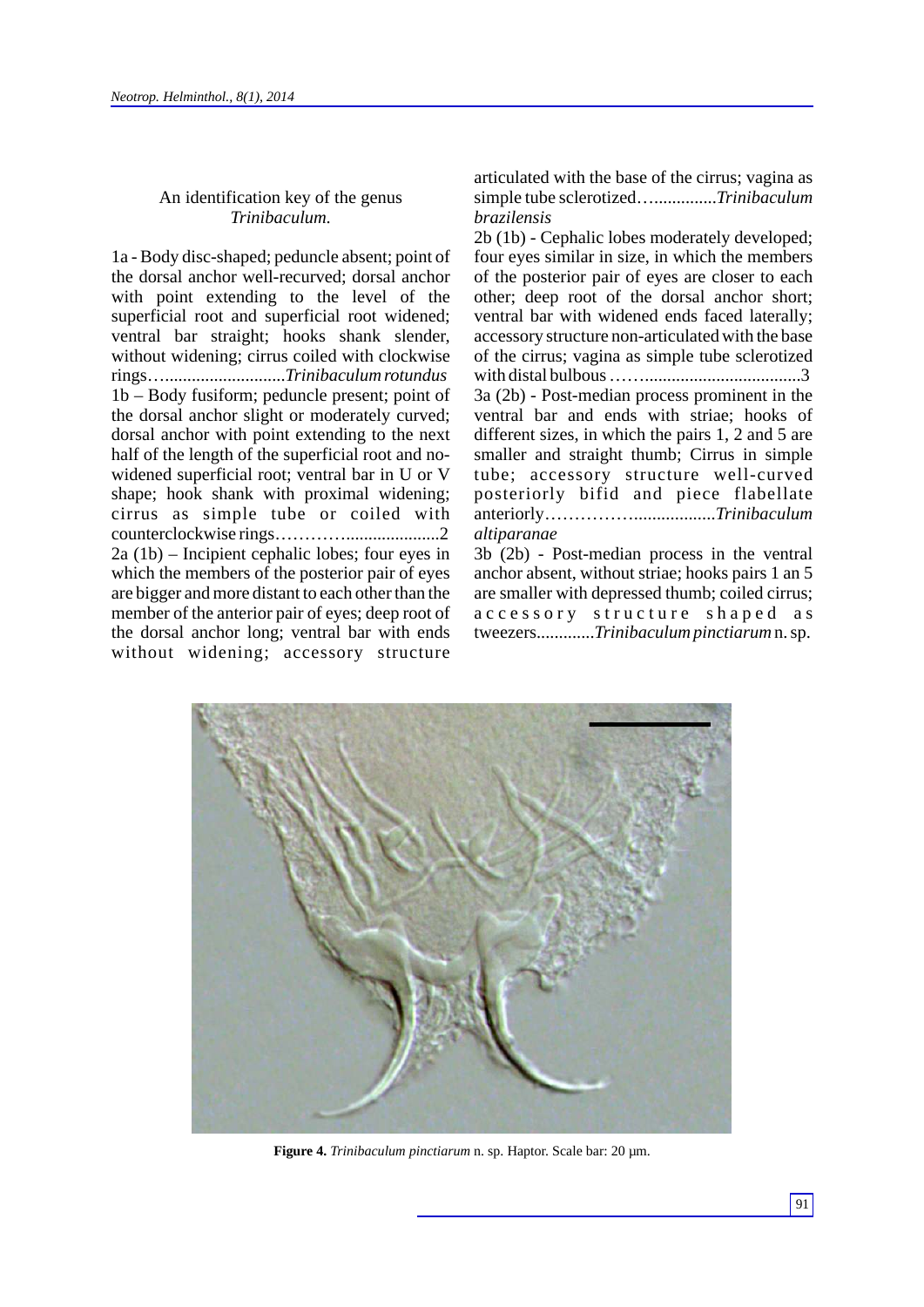# An identification key of the genus *Trinibaculum.*

1a - Body disc-shaped; peduncle absent; point of the dorsal anchor well-recurved; dorsal anchor with point extending to the level of the superficial root and superficial root widened; ventral bar straight; hooks shank slender, without widening; cirrus coiled with clockwise rings…...........................*Trinibaculum rotundus* 1b – Body fusiform; peduncle present; point of the dorsal anchor slight or moderately curved; dorsal anchor with point extending to the next half of the length of the superficial root and nowidened superficial root; ventral bar in U or V shape; hook shank with proximal widening; cirrus as simple tube or coiled with counterclockwise rings………….....................2 2a (1b) – Incipient cephalic lobes; four eyes in which the members of the posterior pair of eyes are bigger and more distant to each other than the member of the anterior pair of eyes; deep root of the dorsal anchor long; ventral bar with ends without widening; accessory structure

articulated with the base of the cirrus; vagina as simple tube sclerotized…..............*Trinibaculum brazilensis* 

2b (1b) - Cephalic lobes moderately developed; four eyes similar in size, in which the members of the posterior pair of eyes are closer to each other; deep root of the dorsal anchor short; ventral bar with widened ends faced laterally; accessory structure non-articulated with the base of the cirrus; vagina as simple tube sclerotized with distal bulbous ……...................................3 3a (2b) - Post-median process prominent in the ventral bar and ends with striae; hooks of different sizes, in which the pairs 1, 2 and 5 are smaller and straight thumb; Cirrus in simple tube; accessory structure well-curved posteriorly bifid and piece flabellate anteriorly……………..................*Trinibaculum altiparanae*

3b (2b) - Post-median process in the ventral anchor absent, without striae; hooks pairs 1 an 5 are smaller with depressed thumb; coiled cirrus; accessory structure shaped as tweezers.............*Trinibaculum pinctiarum* n. sp.



**Figure 4.** *Trinibaculum pinctiarum* n. sp. Haptor. Scale bar: 20 µm.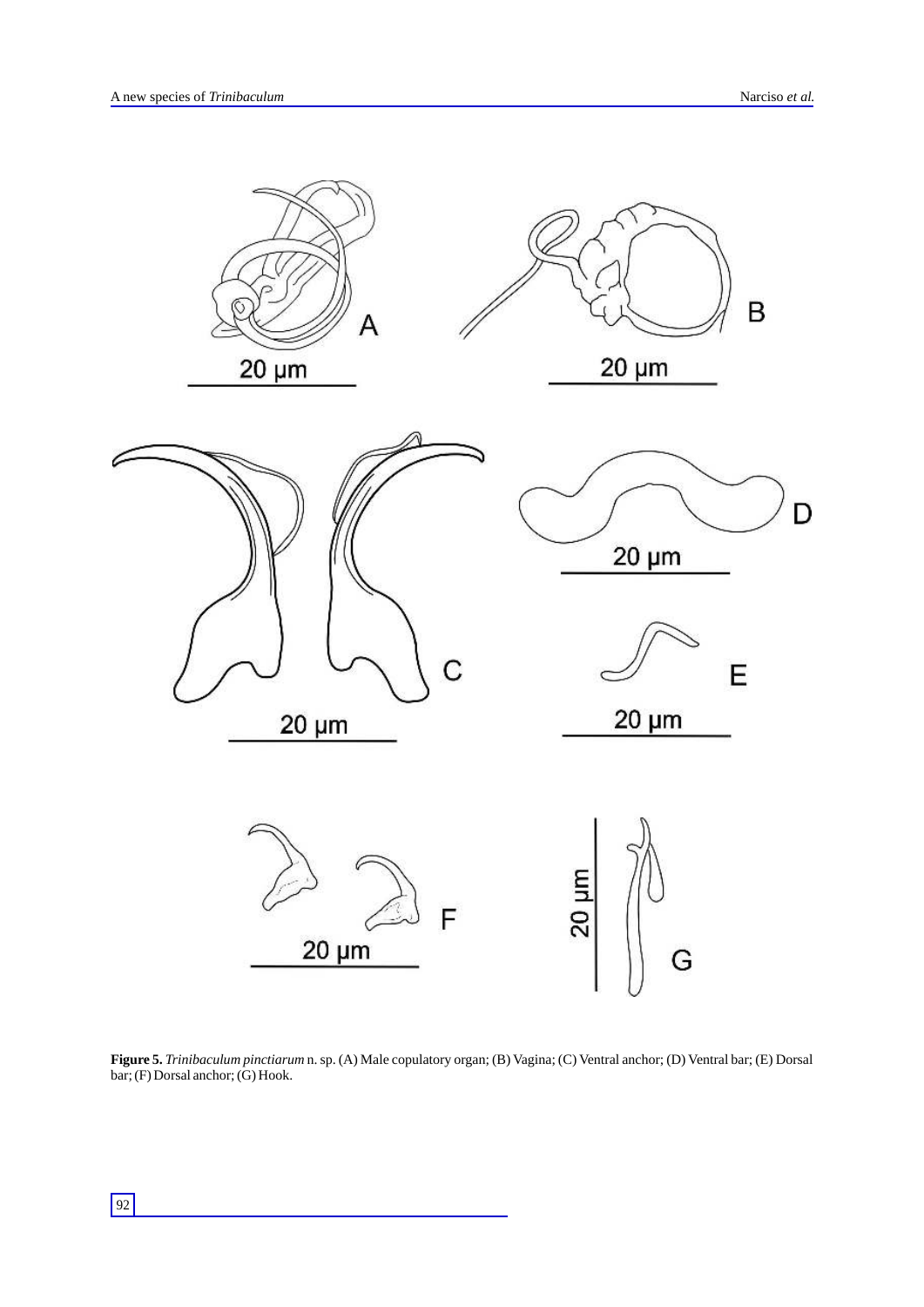

**Figure 5.** *Trinibaculum pinctiarum* n. sp. (A) Male copulatory organ; (B) Vagina; (C) Ventral anchor; (D) Ventral bar; (E) Dorsal bar; (F) Dorsal anchor; (G) Hook.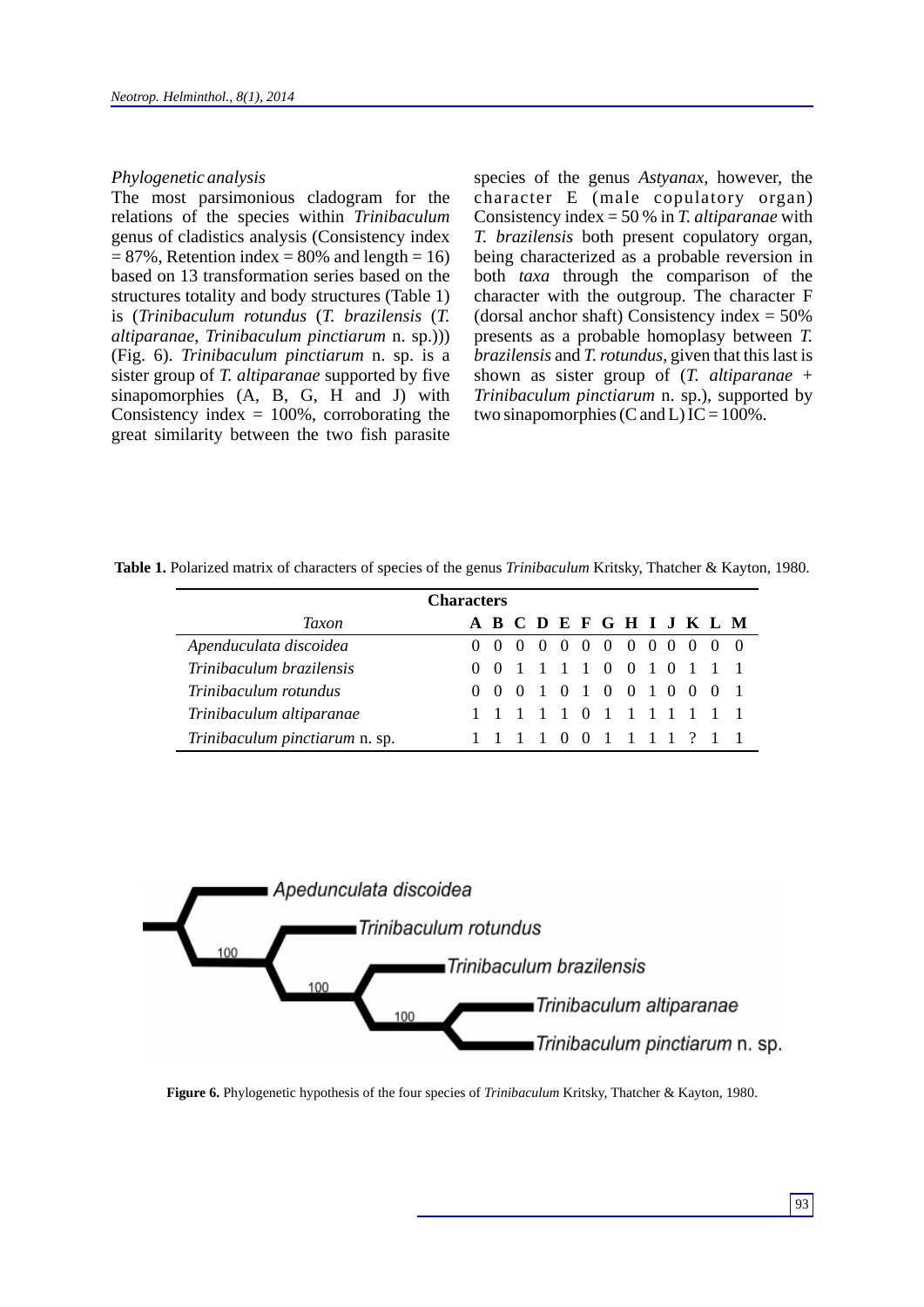#### *Phylogenetic analysis*

The most parsimonious cladogram for the relations of the species within *Trinibaculum*  genus of cladistics analysis (Consistency index  $= 87\%$ , Retention index  $= 80\%$  and length  $= 16$ ) based on 13 transformation series based on the structures totality and body structures (Table 1) is (*Trinibaculum rotundus* (*T. brazilensis* (*T. altiparanae*, *Trinibaculum pinctiarum* n. sp.))) (Fig. 6). *Trinibaculum pinctiarum* n. sp. is a sister group of *T. altiparanae* supported by five sinapomorphies (A, B, G, H and J) with Consistency index  $= 100\%$ , corroborating the great similarity between the two fish parasite species of the genus *Astyanax*, however, the character E (male copulatory organ) Consistency index = 50 % in *T. altiparanae* with *T. brazilensis* both present copulatory organ, being characterized as a probable reversion in both *taxa* through the comparison of the character with the outgroup. The character F (dorsal anchor shaft) Consistency index  $= 50\%$ presents as a probable homoplasy between *T. brazilensis* and *T. rotundus*, given that this last is shown as sister group of (*T. altiparanae* + *Trinibaculum pinctiarum* n. sp.), supported by two sinapomorphies (C and L) IC =  $100\%$ .

**Table 1.** Polarized matrix of characters of species of the genus *Trinibaculum* Kritsky, Thatcher & Kayton, 1980.

| <b>Characters</b>              |  |                   |  |  |  |  |  |                           |  |  |  |  |  |
|--------------------------------|--|-------------------|--|--|--|--|--|---------------------------|--|--|--|--|--|
| Taxon                          |  |                   |  |  |  |  |  | A B C D E F G H I J K L M |  |  |  |  |  |
| Apenduculata discoidea         |  |                   |  |  |  |  |  | 0 0 0 0 0 0 0 0 0 0 0 0 0 |  |  |  |  |  |
| Trinibaculum brazilensis       |  |                   |  |  |  |  |  | 0 0 1 1 1 1 0 0 1 0 1 1 1 |  |  |  |  |  |
| Trinibaculum rotundus          |  | $(1)$ $(1)$ $(1)$ |  |  |  |  |  | 1 0 1 0 0 1 0 0 0 1       |  |  |  |  |  |
| Trinibaculum altiparanae       |  |                   |  |  |  |  |  | 1 1 1 1 1 0 1 1 1 1 1 1 1 |  |  |  |  |  |
| Trinibaculum pinctiarum n. sp. |  |                   |  |  |  |  |  | 1 1 1 1 0 0 1 1 1 1 ? 1 1 |  |  |  |  |  |



**Figure 6.** Phylogenetic hypothesis of the four species of *Trinibaculum* Kritsky, Thatcher & Kayton, 1980.

93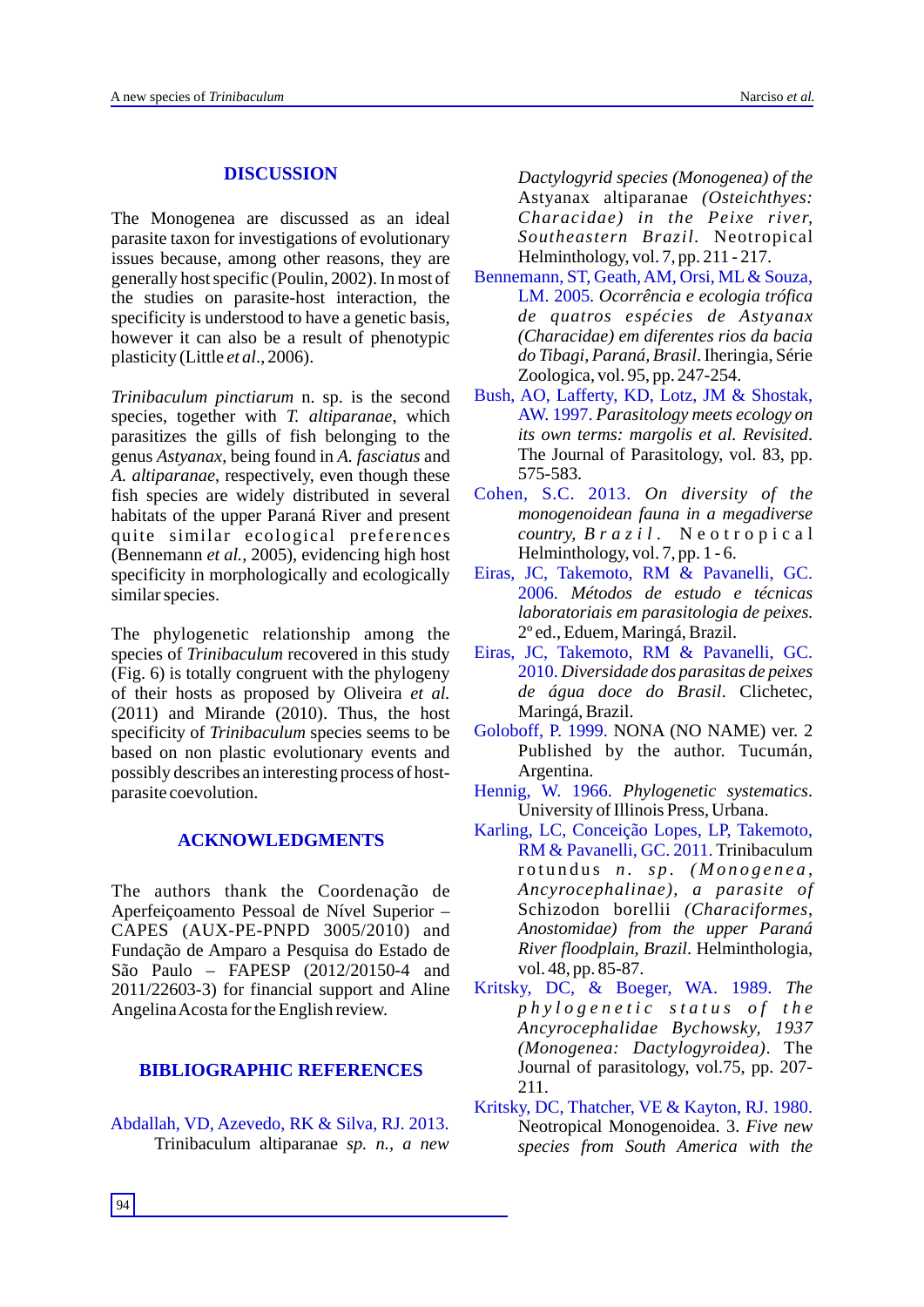# **DISCUSSION**

The Monogenea are discussed as an ideal parasite taxon for investigations of evolutionary issues because, among other reasons, they are generally host specific (Poulin, 2002). In most of the studies on parasite-host interaction, the specificity is understood to have a genetic basis, however it can also be a result of phenotypic plasticity (Little *et al*., 2006).

*Trinibaculum pinctiarum* n. sp. is the second species, together with *T. altiparanae*, which parasitizes the gills of fish belonging to the genus *Astyanax*, being found in *A. fasciatus* and *A. altiparanae*, respectively, even though these fish species are widely distributed in several habitats of the upper Paraná River and present quite similar ecological preferences (Bennemann *et al.,* 2005), evidencing high host specificity in morphologically and ecologically similar species.

The phylogenetic relationship among the species of *Trinibaculum* recovered in this study (Fig. 6) is totally congruent with the phylogeny of their hosts as proposed by Oliveira *et al.* (2011) and Mirande (2010). Thus, the host specificity of *Trinibaculum* species seems to be based on non plastic evolutionary events and possibly describes an interesting process of hostparasite coevolution.

# **ACKNOWLEDGMENTS**

The authors thank the Coordenação de Aperfeiçoamento Pessoal de Nível Superior – CAPES (AUX-PE-PNPD 3005/2010) and Fundação de Amparo a Pesquisa do Estado de São Paulo – FAPESP (2012/20150-4 and 2011/22603-3) for financial support and Aline Angelina Acosta for the English review.

# **BIBLIOGRAPHIC REFERENCES**

Abdallah, VD, Azevedo, RK & Silva, RJ. 2013. Trinibaculum altiparanae *sp. n., a new* *Dactylogyrid species (Monogenea) of the*  Astyanax altiparanae *(Osteichthyes: Characidae) in the Peixe river, Southeastern Brazil.* Neotropical Helminthology, vol. 7, pp. 211 - 217.

- LM. 2005. Ocorrência e ecologia trófica *de quatros espécies de Astyanax (Characidae) em diferentes rios da bacia do Tibagi, Paraná, Brasil*. Iheringia, Série Zoologica, vol. 95, pp. 247-254. Bennemann, ST, Geath, AM, Orsi, ML& Souza,
- *Parasitology meets ecology on*  AW. 1997. *its own terms: margolis et al. Revisited*. The Journal of Parasitology, vol. 83, pp. 575-583. Bush, AO, Lafferty, KD, Lotz, JM & Shostak,
- *On diversity of the* Cohen, S.C. 2013. *monogenoidean fauna in a megadiverse country, B r a z i l .* N e o t r o p i c a l Helminthology, vol. 7, pp. 1 - 6.
- *Métodos de estudo e técnicas*  2006. *laboratoriais em parasitologia de peixes*. 2º ed., Eduem, Maringá, Brazil. Eiras, JC, Takemoto, RM & Pavanelli, GC.
- *Diversidade dos parasitas de peixes*  2010. *de água doce do Brasil*. Clichetec, Maringá, Brazil. Eiras, JC, Takemoto, RM & Pavanelli, GC.
- Goloboff, P. 1999. NONA (NO NAME) ver. 2 Published by the author. Tucumán, Argentina.
- *Phylogenetic systematics*. Hennig, W. 1966. University of Illinois Press, Urbana.
- RM & Pavanelli, GC. 2011. Trinibaculum rotundus *n. sp. (Monogenea, Ancyrocephalinae), a parasite of* Schizodon borellii *(Characiformes, Anostomidae) from the upper Paraná River floodplain, Brazil*. Helminthologia, vol. 48, pp. 85-87. Karling, LC, Conceição Lopes, LP, Takemoto,
- Kritsky, DC, & Boeger, WA. 1989. The *p h y l o g e n e t i c s t a t u s o f t h e Ancyrocephalidae Bychowsky, 1937 (Monogenea: Dactylogyroidea)*. The Journal of parasitology, vol.75, pp. 207- 211.
- Neotropical Monogenoidea. 3. *Five new species from South America with the* Kritsky, DC, Thatcher, VE & Kayton, RJ. 1980.